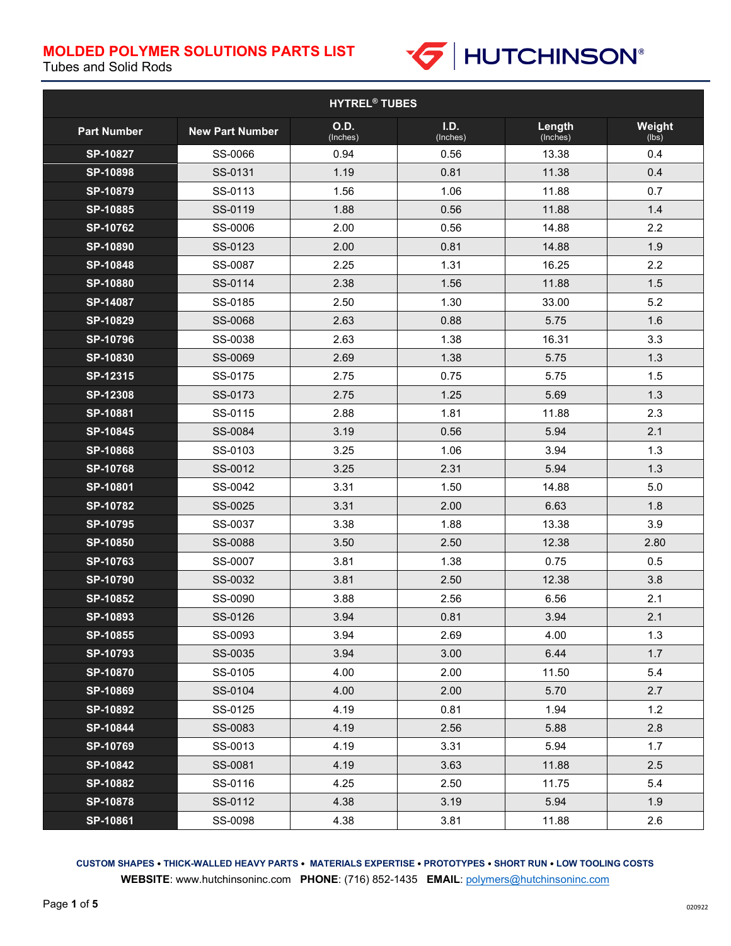

Tubes and Solid Rods

| <b>HYTREL<sup>®</sup> TUBES</b> |                        |                         |                  |                    |                 |
|---------------------------------|------------------------|-------------------------|------------------|--------------------|-----------------|
| <b>Part Number</b>              | <b>New Part Number</b> | <b>O.D.</b><br>(Inches) | I.D.<br>(Inches) | Length<br>(Inches) | Weight<br>(lbs) |
| SP-10827                        | SS-0066                | 0.94                    | 0.56             | 13.38              | 0.4             |
| SP-10898                        | SS-0131                | 1.19                    | 0.81             | 11.38              | 0.4             |
| SP-10879                        | SS-0113                | 1.56                    | 1.06             | 11.88              | 0.7             |
| SP-10885                        | SS-0119                | 1.88                    | 0.56             | 11.88              | 1.4             |
| SP-10762                        | SS-0006                | 2.00                    | 0.56             | 14.88              | 2.2             |
| SP-10890                        | SS-0123                | 2.00                    | 0.81             | 14.88              | 1.9             |
| SP-10848                        | SS-0087                | 2.25                    | 1.31             | 16.25              | 2.2             |
| SP-10880                        | SS-0114                | 2.38                    | 1.56             | 11.88              | 1.5             |
| SP-14087                        | SS-0185                | 2.50                    | 1.30             | 33.00              | 5.2             |
| SP-10829                        | SS-0068                | 2.63                    | 0.88             | 5.75               | 1.6             |
| SP-10796                        | SS-0038                | 2.63                    | 1.38             | 16.31              | 3.3             |
| SP-10830                        | SS-0069                | 2.69                    | 1.38             | 5.75               | 1.3             |
| $SP-12315$                      | SS-0175                | 2.75                    | 0.75             | 5.75               | 1.5             |
| <b>SP-12308</b>                 | SS-0173                | 2.75                    | 1.25             | 5.69               | 1.3             |
| SP-10881                        | SS-0115                | 2.88                    | 1.81             | 11.88              | 2.3             |
| SP-10845                        | SS-0084                | 3.19                    | 0.56             | 5.94               | 2.1             |
| SP-10868                        | SS-0103                | 3.25                    | 1.06             | 3.94               | 1.3             |
| <b>SP-10768</b>                 | SS-0012                | 3.25                    | 2.31             | 5.94               | 1.3             |
| SP-10801                        | SS-0042                | 3.31                    | 1.50             | 14.88              | 5.0             |
| SP-10782                        | SS-0025                | 3.31                    | 2.00             | 6.63               | 1.8             |
| SP-10795                        | SS-0037                | 3.38                    | 1.88             | 13.38              | 3.9             |
| SP-10850                        | SS-0088                | 3.50                    | 2.50             | 12.38              | 2.80            |
| SP-10763                        | SS-0007                | 3.81                    | 1.38             | 0.75               | 0.5             |
| SP-10790                        | SS-0032                | 3.81                    | 2.50             | 12.38              | 3.8             |
| SP-10852                        | SS-0090                | 3.88                    | 2.56             | 6.56               | 2.1             |
| SP-10893                        | SS-0126                | 3.94                    | 0.81             | 3.94               | 2.1             |
| SP-10855                        | SS-0093                | 3.94                    | 2.69             | 4.00               | 1.3             |
| SP-10793                        | SS-0035                | 3.94                    | 3.00             | 6.44               | 1.7             |
| <b>SP-10870</b>                 | SS-0105                | 4.00                    | 2.00             | 11.50              | 5.4             |
| SP-10869                        | SS-0104                | 4.00                    | 2.00             | 5.70               | 2.7             |
| SP-10892                        | SS-0125                | 4.19                    | 0.81             | 1.94               | 1.2             |
| SP-10844                        | SS-0083                | 4.19                    | 2.56             | 5.88               | 2.8             |
| SP-10769                        | SS-0013                | 4.19                    | 3.31             | 5.94               | 1.7             |
| SP-10842                        | SS-0081                | 4.19                    | 3.63             | 11.88              | 2.5             |
| SP-10882                        | SS-0116                | 4.25                    | 2.50             | 11.75              | 5.4             |
| <b>SP-10878</b>                 | SS-0112                | 4.38                    | 3.19             | 5.94               | 1.9             |
| SP-10861                        | SS-0098                | 4.38                    | 3.81             | 11.88              | 2.6             |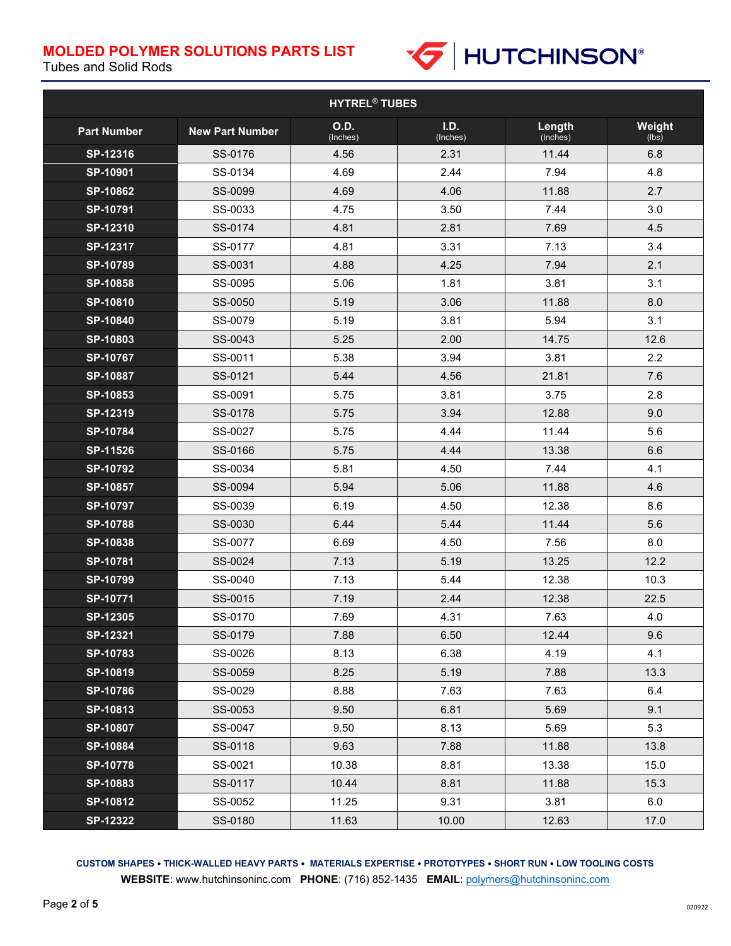

Tubes and Solid Rods

| <b>HYTREL<sup>®</sup> TUBES</b> |                        |                         |                  |                    |                 |
|---------------------------------|------------------------|-------------------------|------------------|--------------------|-----------------|
| <b>Part Number</b>              | <b>New Part Number</b> | <b>O.D.</b><br>(Inches) | I.D.<br>(Inches) | Length<br>(Inches) | Weight<br>(lbs) |
| SP-12316                        | SS-0176                | 4.56                    | 2.31             | 11.44              | 6.8             |
| SP-10901                        | SS-0134                | 4.69                    | 2.44             | 7.94               | 4.8             |
| SP-10862                        | SS-0099                | 4.69                    | 4.06             | 11.88              | 2.7             |
| SP-10791                        | SS-0033                | 4.75                    | 3.50             | 7.44               | 3.0             |
| SP-12310                        | SS-0174                | 4.81                    | 2.81             | 7.69               | 4.5             |
| SP-12317                        | SS-0177                | 4.81                    | 3.31             | 7.13               | 3.4             |
| SP-10789                        | SS-0031                | 4.88                    | 4.25             | 7.94               | 2.1             |
| SP-10858                        | SS-0095                | 5.06                    | 1.81             | 3.81               | 3.1             |
| SP-10810                        | SS-0050                | 5.19                    | 3.06             | 11.88              | 8.0             |
| SP-10840                        | SS-0079                | 5.19                    | 3.81             | 5.94               | 3.1             |
| SP-10803                        | SS-0043                | 5.25                    | 2.00             | 14.75              | 12.6            |
| SP-10767                        | SS-0011                | 5.38                    | 3.94             | 3.81               | 2.2             |
| SP-10887                        | SS-0121                | 5.44                    | 4.56             | 21.81              | 7.6             |
| SP-10853                        | SS-0091                | 5.75                    | 3.81             | 3.75               | 2.8             |
| SP-12319                        | SS-0178                | 5.75                    | 3.94             | 12.88              | 9.0             |
| SP-10784                        | SS-0027                | 5.75                    | 4.44             | 11.44              | 5.6             |
| SP-11526                        | SS-0166                | 5.75                    | 4.44             | 13.38              | 6.6             |
| SP-10792                        | SS-0034                | 5.81                    | 4.50             | 7.44               | 4.1             |
| SP-10857                        | SS-0094                | 5.94                    | 5.06             | 11.88              | 4.6             |
| SP-10797                        | SS-0039                | 6.19                    | 4.50             | 12.38              | 8.6             |
| SP-10788                        | SS-0030                | 6.44                    | 5.44             | 11.44              | 5.6             |
| SP-10838                        | SS-0077                | 6.69                    | 4.50             | 7.56               | 8.0             |
| SP-10781                        | SS-0024                | 7.13                    | 5.19             | 13.25              | 12.2            |
| SP-10799                        | SS-0040                | 7.13                    | 5.44             | 12.38              | 10.3            |
| SP-10771                        | SS-0015                | 7.19                    | 2.44             | 12.38              | 22.5            |
| SP-12305                        | SS-0170                | 7.69                    | 4.31             | 7.63               | 4.0             |
| SP-12321                        | SS-0179                | 7.88                    | 6.50             | 12.44              | 9.6             |
| SP-10783                        | SS-0026                | 8.13                    | 6.38             | 4.19               | 4.1             |
| SP-10819                        | SS-0059                | 8.25                    | 5.19             | 7.88               | 13.3            |
| <b>SP-10786</b>                 | SS-0029                | 8.88                    | 7.63             | 7.63               | 6.4             |
| SP-10813                        | SS-0053                | 9.50                    | 6.81             | 5.69               | 9.1             |
| SP-10807                        | SS-0047                | 9.50                    | 8.13             | 5.69               | 5.3             |
| SP-10884                        | SS-0118                | 9.63                    | 7.88             | 11.88              | 13.8            |
| <b>SP-10778</b>                 | SS-0021                | 10.38                   | 8.81             | 13.38              | 15.0            |
| SP-10883                        | SS-0117                | 10.44                   | 8.81             | 11.88              | 15.3            |
| SP-10812                        | SS-0052                | 11.25                   | 9.31             | 3.81               | 6.0             |
| <b>SP-12322</b>                 | SS-0180                | 11.63                   | 10.00            | 12.63              | 17.0            |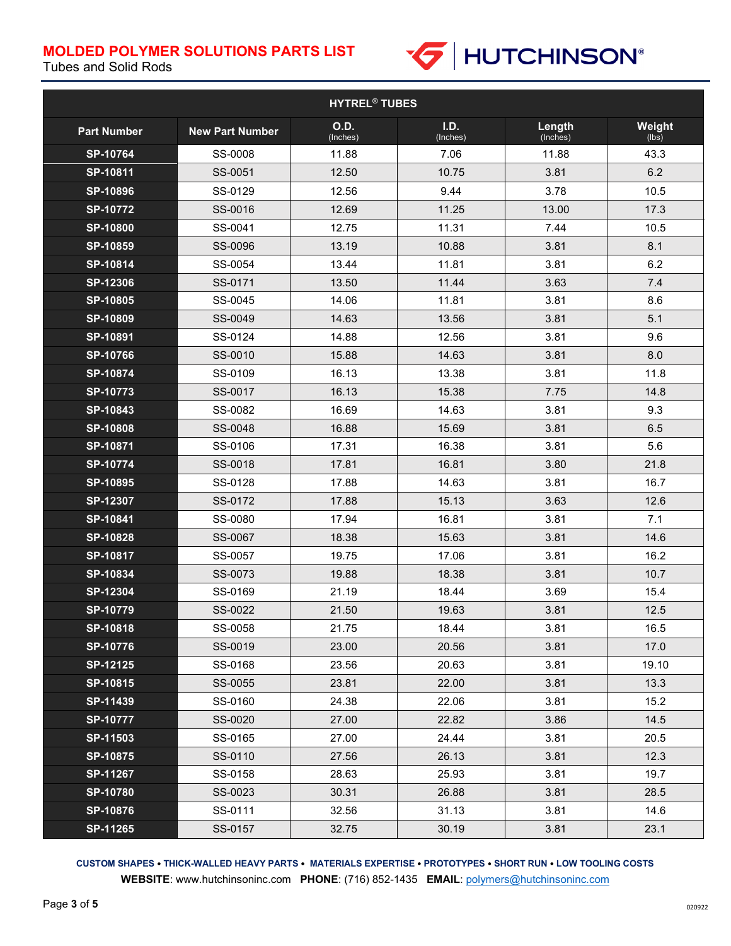

Tubes and Solid Rods

| <b>HYTREL<sup>®</sup> TUBES</b> |                        |                  |                  |                    |                 |
|---------------------------------|------------------------|------------------|------------------|--------------------|-----------------|
| <b>Part Number</b>              | <b>New Part Number</b> | O.D.<br>(Inches) | I.D.<br>(Inches) | Length<br>(Inches) | Weight<br>(lbs) |
| SP-10764                        | SS-0008                | 11.88            | 7.06             | 11.88              | 43.3            |
| SP-10811                        | SS-0051                | 12.50            | 10.75            | 3.81               | 6.2             |
| SP-10896                        | SS-0129                | 12.56            | 9.44             | 3.78               | 10.5            |
| <b>SP-10772</b>                 | SS-0016                | 12.69            | 11.25            | 13.00              | 17.3            |
| SP-10800                        | SS-0041                | 12.75            | 11.31            | 7.44               | 10.5            |
| SP-10859                        | SS-0096                | 13.19            | 10.88            | 3.81               | 8.1             |
| SP-10814                        | SS-0054                | 13.44            | 11.81            | 3.81               | 6.2             |
| SP-12306                        | SS-0171                | 13.50            | 11.44            | 3.63               | 7.4             |
| SP-10805                        | SS-0045                | 14.06            | 11.81            | 3.81               | 8.6             |
| SP-10809                        | SS-0049                | 14.63            | 13.56            | 3.81               | 5.1             |
| SP-10891                        | SS-0124                | 14.88            | 12.56            | 3.81               | 9.6             |
| SP-10766                        | SS-0010                | 15.88            | 14.63            | 3.81               | 8.0             |
| SP-10874                        | SS-0109                | 16.13            | 13.38            | 3.81               | 11.8            |
| SP-10773                        | SS-0017                | 16.13            | 15.38            | 7.75               | 14.8            |
| SP-10843                        | SS-0082                | 16.69            | 14.63            | 3.81               | 9.3             |
| SP-10808                        | SS-0048                | 16.88            | 15.69            | 3.81               | 6.5             |
| SP-10871                        | SS-0106                | 17.31            | 16.38            | 3.81               | 5.6             |
| SP-10774                        | SS-0018                | 17.81            | 16.81            | 3.80               | 21.8            |
| SP-10895                        | SS-0128                | 17.88            | 14.63            | 3.81               | 16.7            |
| SP-12307                        | SS-0172                | 17.88            | 15.13            | 3.63               | 12.6            |
| SP-10841                        | SS-0080                | 17.94            | 16.81            | 3.81               | 7.1             |
| SP-10828                        | SS-0067                | 18.38            | 15.63            | 3.81               | 14.6            |
| SP-10817                        | SS-0057                | 19.75            | 17.06            | 3.81               | 16.2            |
| SP-10834                        | SS-0073                | 19.88            | 18.38            | 3.81               | 10.7            |
| SP-12304                        | SS-0169                | 21.19            | 18.44            | 3.69               | 15.4            |
| SP-10779                        | SS-0022                | 21.50            | 19.63            | 3.81               | 12.5            |
| SP-10818                        | SS-0058                | 21.75            | 18.44            | 3.81               | 16.5            |
| SP-10776                        | SS-0019                | 23.00            | 20.56            | 3.81               | 17.0            |
| SP-12125                        | SS-0168                | 23.56            | 20.63            | 3.81               | 19.10           |
| SP-10815                        | SS-0055                | 23.81            | 22.00            | 3.81               | 13.3            |
| SP-11439                        | SS-0160                | 24.38            | 22.06            | 3.81               | 15.2            |
| <b>SP-10777</b>                 | SS-0020                | 27.00            | 22.82            | 3.86               | 14.5            |
| SP-11503                        | SS-0165                | 27.00            | 24.44            | 3.81               | 20.5            |
| <b>SP-10875</b>                 | SS-0110                | 27.56            | 26.13            | 3.81               | 12.3            |
| <b>SP-11267</b>                 | SS-0158                | 28.63            | 25.93            | 3.81               | 19.7            |
| SP-10780                        | SS-0023                | 30.31            | 26.88            | 3.81               | 28.5            |
| $SP-10876$                      | SS-0111                | 32.56            | 31.13            | 3.81               | 14.6            |
| SP-11265                        | SS-0157                | 32.75            | 30.19            | 3.81               | 23.1            |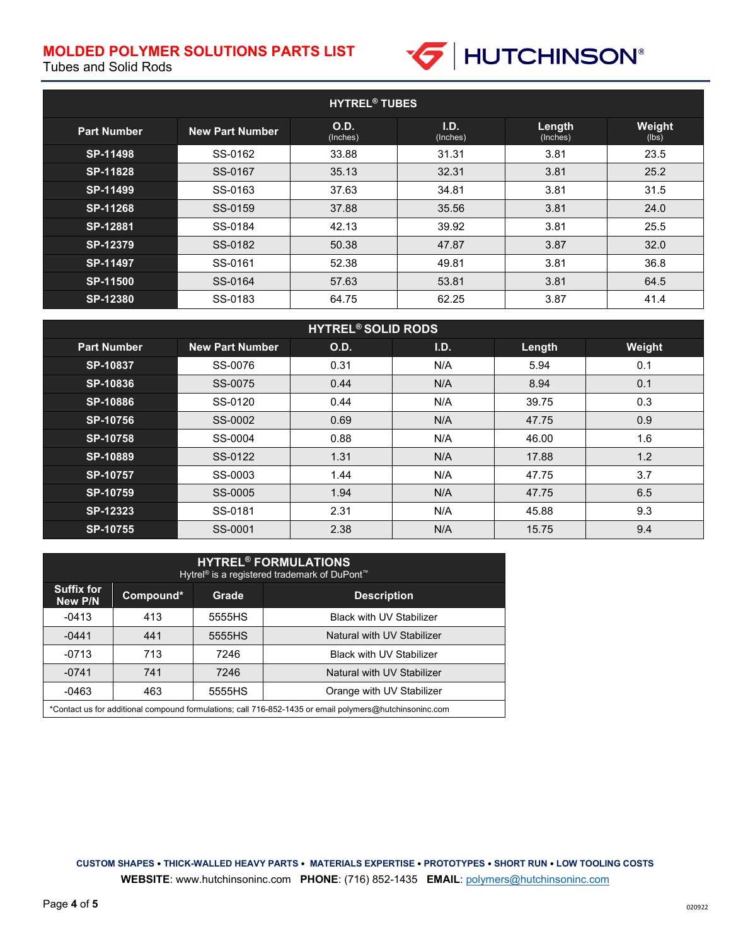

Tubes and Solid Rods

| <b>HYTREL<sup>®</sup> TUBES</b> |                        |                         |                  |                    |                        |
|---------------------------------|------------------------|-------------------------|------------------|--------------------|------------------------|
| <b>Part Number</b>              | <b>New Part Number</b> | <b>O.D.</b><br>(Inches) | I.D.<br>(Inches) | Length<br>(Inches) | <b>Weight</b><br>(lbs) |
| SP-11498                        | SS-0162                | 33.88                   | 31.31            | 3.81               | 23.5                   |
| SP-11828                        | SS-0167                | 35.13                   | 32.31            | 3.81               | 25.2                   |
| SP-11499                        | SS-0163                | 37.63                   | 34.81            | 3.81               | 31.5                   |
| SP-11268                        | SS-0159                | 37.88                   | 35.56            | 3.81               | 24.0                   |
| SP-12881                        | SS-0184                | 42.13                   | 39.92            | 3.81               | 25.5                   |
| SP-12379                        | SS-0182                | 50.38                   | 47.87            | 3.87               | 32.0                   |
| SP-11497                        | SS-0161                | 52.38                   | 49.81            | 3.81               | 36.8                   |
| <b>SP-11500</b>                 | SS-0164                | 57.63                   | 53.81            | 3.81               | 64.5                   |
| <b>SP-12380</b>                 | SS-0183                | 64.75                   | 62.25            | 3.87               | 41.4                   |

| <b>HYTREL<sup>®</sup> SOLID RODS</b> |                        |      |      |        |        |
|--------------------------------------|------------------------|------|------|--------|--------|
| <b>Part Number</b>                   | <b>New Part Number</b> | O.D. | I.D. | Length | Weight |
| SP-10837                             | SS-0076                | 0.31 | N/A  | 5.94   | 0.1    |
| SP-10836                             | SS-0075                | 0.44 | N/A  | 8.94   | 0.1    |
| SP-10886                             | SS-0120                | 0.44 | N/A  | 39.75  | 0.3    |
| <b>SP-10756</b>                      | SS-0002                | 0.69 | N/A  | 47.75  | 0.9    |
| <b>SP-10758</b>                      | SS-0004                | 0.88 | N/A  | 46.00  | 1.6    |
| SP-10889                             | SS-0122                | 1.31 | N/A  | 17.88  | 1.2    |
| SP-10757                             | SS-0003                | 1.44 | N/A  | 47.75  | 3.7    |
| SP-10759                             | SS-0005                | 1.94 | N/A  | 47.75  | 6.5    |
| SP-12323                             | SS-0181                | 2.31 | N/A  | 45.88  | 9.3    |
| <b>SP-10755</b>                      | SS-0001                | 2.38 | N/A  | 15.75  | 9.4    |

| <b>HYTREL<sup>®</sup> FORMULATIONS</b><br>Hytrel <sup>®</sup> is a registered trademark of DuPont <sup>™</sup> |           |              |                                 |  |
|----------------------------------------------------------------------------------------------------------------|-----------|--------------|---------------------------------|--|
| <b>Suffix for</b><br>New P/N                                                                                   | Compound* | <b>Grade</b> | <b>Description</b>              |  |
| $-0413$                                                                                                        | 413       | 5555HS       | <b>Black with UV Stabilizer</b> |  |
| $-0441$                                                                                                        | 441       | 5555HS       | Natural with UV Stabilizer      |  |
| $-0713$                                                                                                        | 713       | 7246         | <b>Black with UV Stabilizer</b> |  |
| $-0741$                                                                                                        | 741       | 7246         | Natural with UV Stabilizer      |  |
| $-0463$                                                                                                        | 463       | 5555HS       | Orange with UV Stabilizer       |  |
| *Contact us for additional compound formulations; call 716-852-1435 or email polymers@hutchinsoninc.com        |           |              |                                 |  |